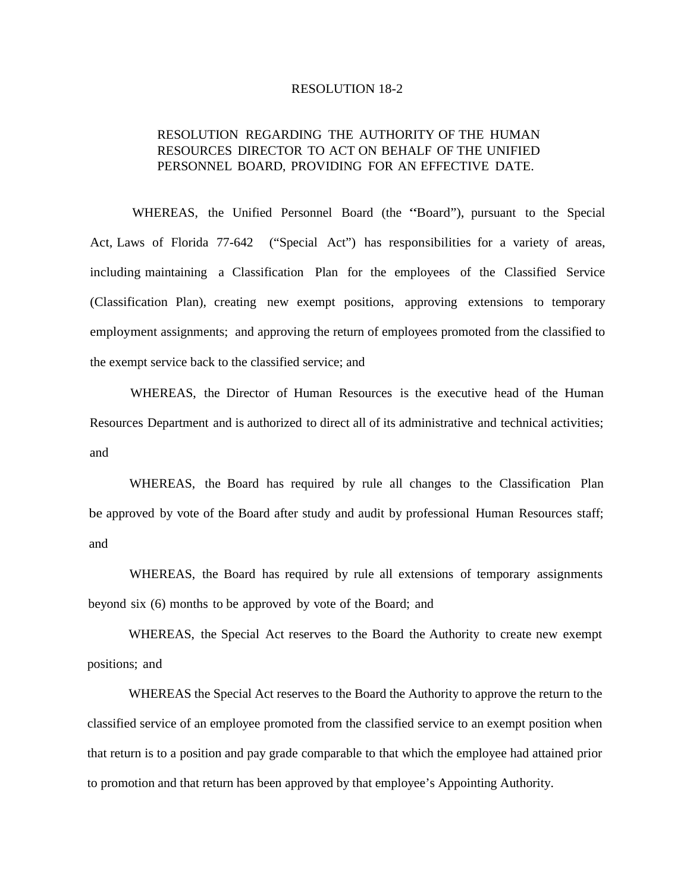## RESOLUTION 18-2

## RESOLUTION REGARDING THE AUTHORITY OF THE HUMAN RESOURCES DIRECTOR TO ACT ON BEHALF OF THE UNIFIED PERSONNEL BOARD, PROVIDING FOR AN EFFECTIVE DATE.

WHEREAS, the Unified Personnel Board (the "Board"), pursuant to the Special Act, Laws of Florida 77-642 ("Special Act") has responsibilities for a variety of areas, including maintaining a Classification Plan for the employees of the Classified Service (Classification Plan), creating new exempt positions, approving extensions to temporary employment assignments; and approving the return of employees promoted from the classified to the exempt service back to the classified service; and

WHEREAS, the Director of Human Resources is the executive head of the Human Resources Department and is authorized to direct all of its administrative and technical activities; and

WHEREAS, the Board has required by rule all changes to the Classification Plan be approved by vote of the Board after study and audit by professional Human Resources staff; and

WHEREAS, the Board has required by rule all extensions of temporary assignments beyond six (6) months to be approved by vote of the Board; and

WHEREAS, the Special Act reserves to the Board the Authority to create new exempt positions; and

WHEREAS the Special Act reserves to the Board the Authority to approve the return to the classified service of an employee promoted from the classified service to an exempt position when that return is to a position and pay grade comparable to that which the employee had attained prior to promotion and that return has been approved by that employee's Appointing Authority.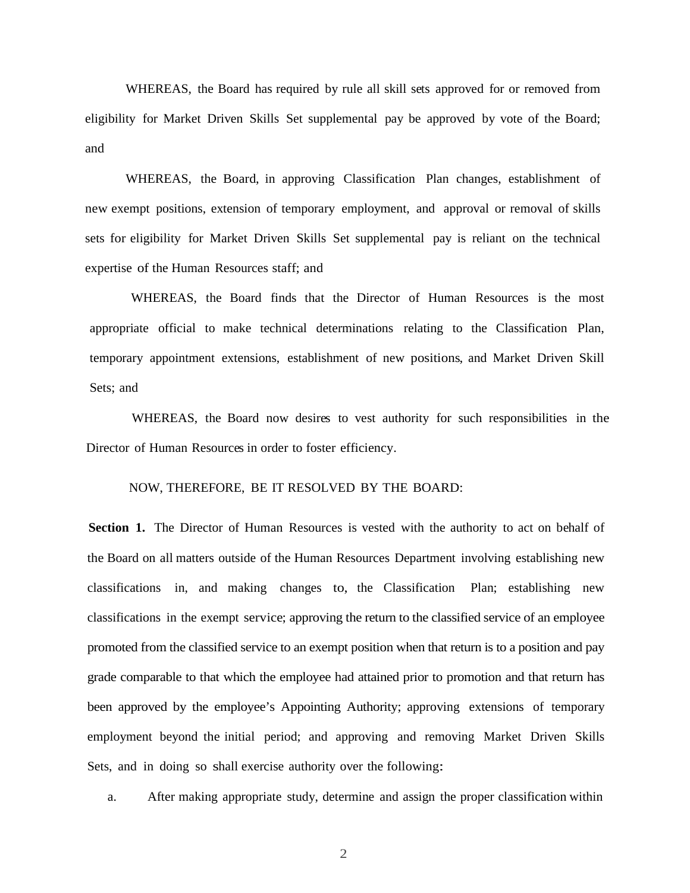WHEREAS, the Board has required by rule all skill sets approved for or removed from eligibility for Market Driven Skills Set supplemental pay be approved by vote of the Board; and

WHEREAS, the Board, in approving Classification Plan changes, establishment of new exempt positions, extension of temporary employment, and approval or removal of skills sets for eligibility for Market Driven Skills Set supplemental pay is reliant on the technical expertise of the Human Resources staff; and

WHEREAS, the Board finds that the Director of Human Resources is the most appropriate official to make technical determinations relating to the Classification Plan, temporary appointment extensions, establishment of new positions, and Market Driven Skill Sets; and

WHEREAS, the Board now desires to vest authority for such responsibilities in the Director of Human Resources in order to foster efficiency.

## NOW, THEREFORE, BE IT RESOLVED BY THE BOARD:

Section 1. The Director of Human Resources is vested with the authority to act on behalf of the Board on all matters outside of the Human Resources Department involving establishing new classifications in, and making changes to, the Classification Plan; establishing new classifications in the exempt service; approving the return to the classified service of an employee promoted from the classified service to an exempt position when that return is to a position and pay grade comparable to that which the employee had attained prior to promotion and that return has been approved by the employee's Appointing Authority; approving extensions of temporary employment beyond the initial period; and approving and removing Market Driven Skills Sets, and in doing so shall exercise authority over the following:

a. After making appropriate study, determine and assign the proper classification within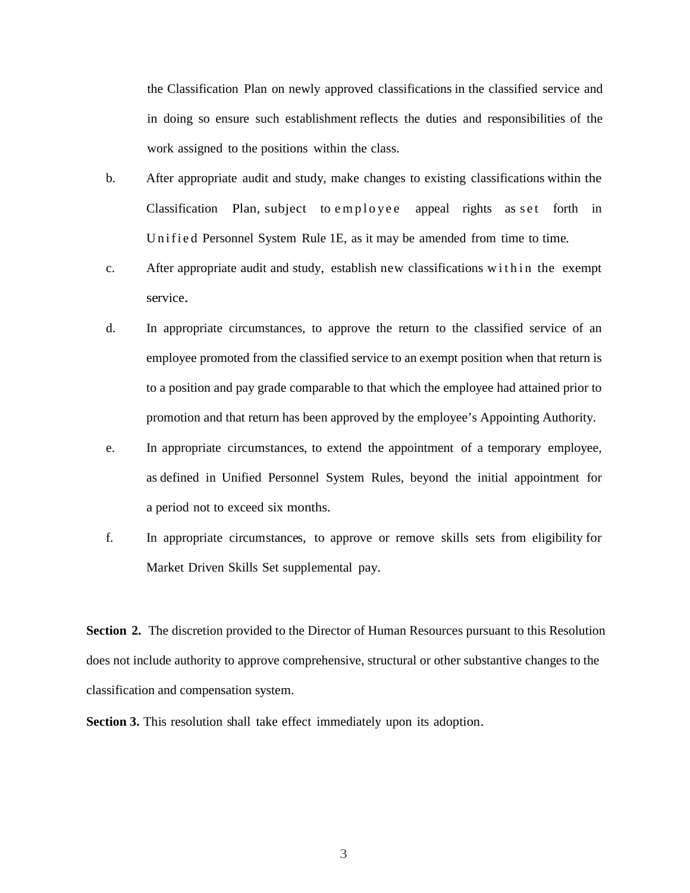the Classification Plan on newly approved classifications in the classified service and in doing so ensure such establishment reflects the duties and responsibilities of the work assigned to the positions within the class.

- b. After appropriate audit and study, make changes to existing classifications within the Classification Plan, subject to employee appeal rights as set forth in Unified Personnel System Rule 1E, as it may be amended from time to time.
- c. After appropriate audit and study, establish new classifications within the exempt service.
- d. In appropriate circumstances, to approve the return to the classified service of an employee promoted from the classified service to an exempt position when that return is to a position and pay grade comparable to that which the employee had attained prior to promotion and that return has been approved by the employee's Appointing Authority.
- e. In appropriate circumstances, to extend the appointment of a temporary employee, as defined in Unified Personnel System Rules, beyond the initial appointment for a period not to exceed six months.
- f. In appropriate circumstances, to approve or remove skills sets from eligibility for Market Driven Skills Set supplemental pay.

**Section 2.** The discretion provided to the Director of Human Resources pursuant to this Resolution does not include authority to approve comprehensive, structural or other substantive changes to the classification and compensation system.

**Section 3.** This resolution shall take effect immediately upon its adoption.

3